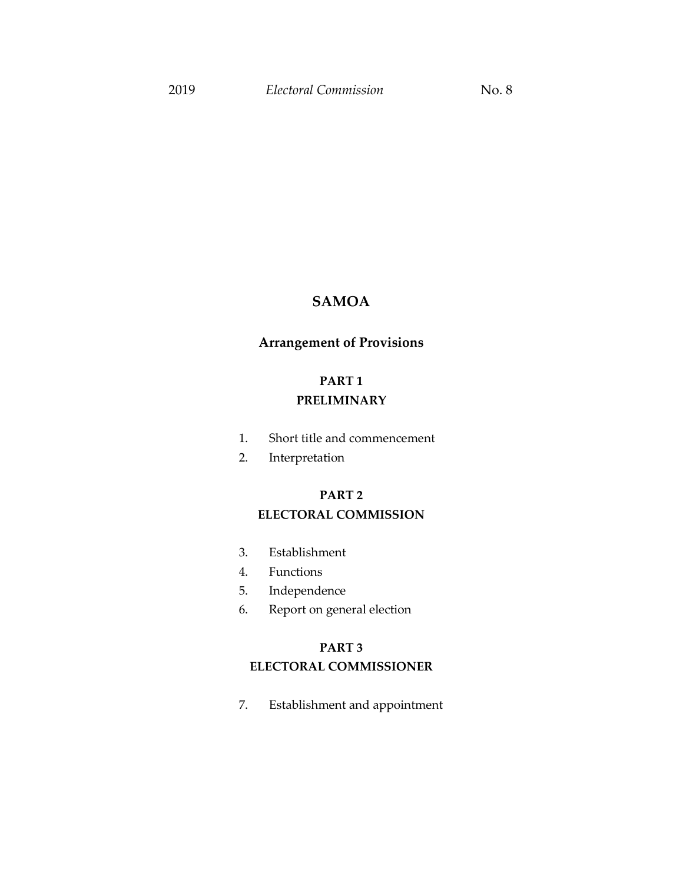## **SAMOA**

## **Arrangement of Provisions**

## **PART 1 PRELIMINARY**

- 1. Short title and commencement
- 2. Interpretation

## **PART 2 ELECTORAL COMMISSION**

- 3. Establishment
- 4. Functions
- 5. Independence
- 6. Report on general election

## **PART 3 ELECTORAL COMMISSIONER**

7. Establishment and appointment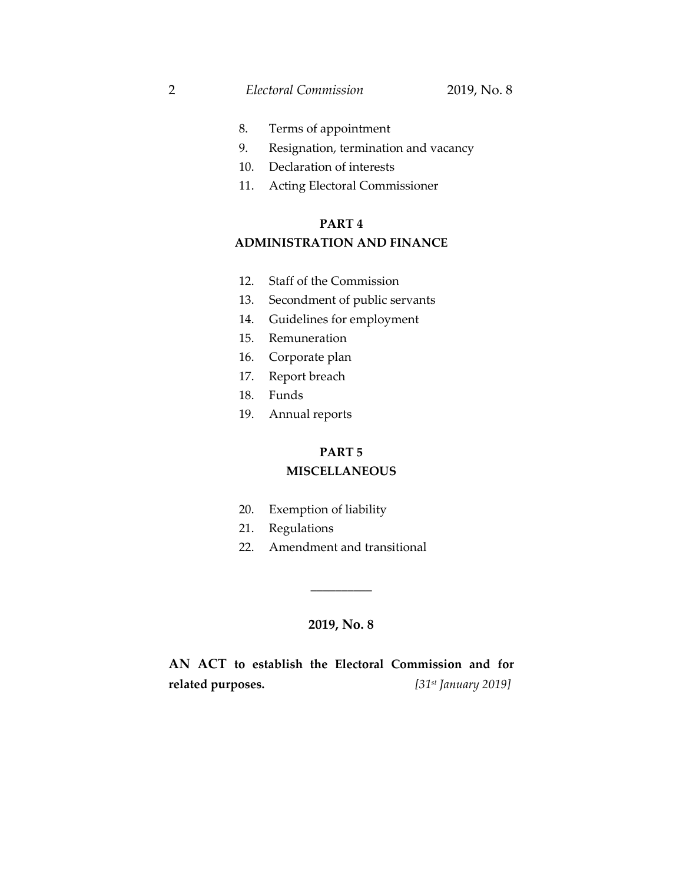2 *Electoral Commission* 2019, No. 8

- 8. Terms of appointment
- 9. Resignation, termination and vacancy
- 10. Declaration of interests
- 11. Acting Electoral Commissioner

#### **PART 4**

### **ADMINISTRATION AND FINANCE**

- 12. Staff of the Commission
- 13. Secondment of public servants
- 14. Guidelines for employment
- 15. Remuneration
- 16. Corporate plan
- 17. Report breach
- 18. Funds
- 19. Annual reports

#### **PART 5**

#### **MISCELLANEOUS**

- 20. Exemption of liability
- 21. Regulations
- 22. Amendment and transitional

#### **2019, No. 8**

\_\_\_\_\_\_\_\_\_\_

**AN ACT to establish the Electoral Commission and for related purposes.** *[31st January 2019]*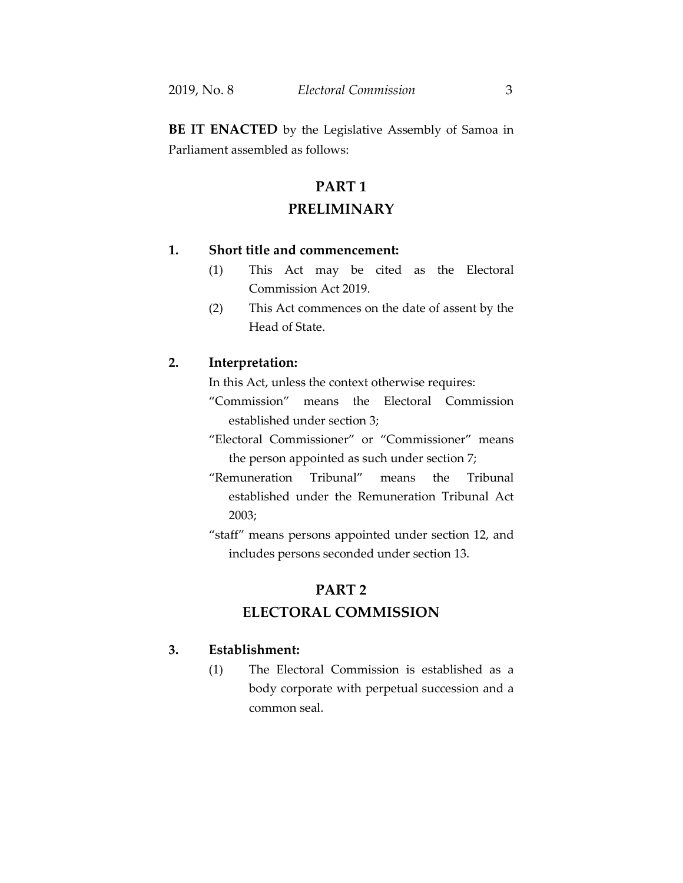**BE IT ENACTED** by the Legislative Assembly of Samoa in Parliament assembled as follows:

# **PART 1 PRELIMINARY**

### **1. Short title and commencement:**

- (1) This Act may be cited as the Electoral Commission Act 2019.
- (2) This Act commences on the date of assent by the Head of State.

#### **2. Interpretation:**

In this Act, unless the context otherwise requires:

- "Commission" means the Electoral Commission established under section 3;
- "Electoral Commissioner" or "Commissioner" means the person appointed as such under section 7;
- "Remuneration Tribunal" means the Tribunal established under the Remuneration Tribunal Act 2003;
- "staff" means persons appointed under section 12, and includes persons seconded under section 13.

### **PART 2**

## **ELECTORAL COMMISSION**

#### **3. Establishment:**

(1) The Electoral Commission is established as a body corporate with perpetual succession and a common seal.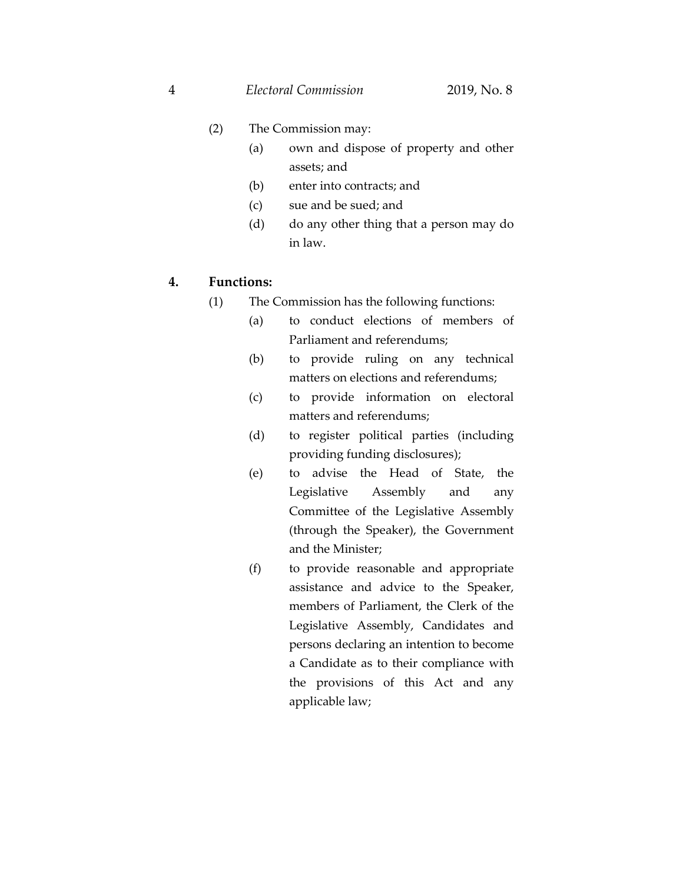- (2) The Commission may:
	- (a) own and dispose of property and other assets; and
	- (b) enter into contracts; and
	- (c) sue and be sued; and
	- (d) do any other thing that a person may do in law.

#### **4. Functions:**

- (1) The Commission has the following functions:
	- (a) to conduct elections of members of Parliament and referendums;
	- (b) to provide ruling on any technical matters on elections and referendums;
	- (c) to provide information on electoral matters and referendums;
	- (d) to register political parties (including providing funding disclosures);
	- (e) to advise the Head of State, the Legislative Assembly and any Committee of the Legislative Assembly (through the Speaker), the Government and the Minister;
	- (f) to provide reasonable and appropriate assistance and advice to the Speaker, members of Parliament, the Clerk of the Legislative Assembly, Candidates and persons declaring an intention to become a Candidate as to their compliance with the provisions of this Act and any applicable law;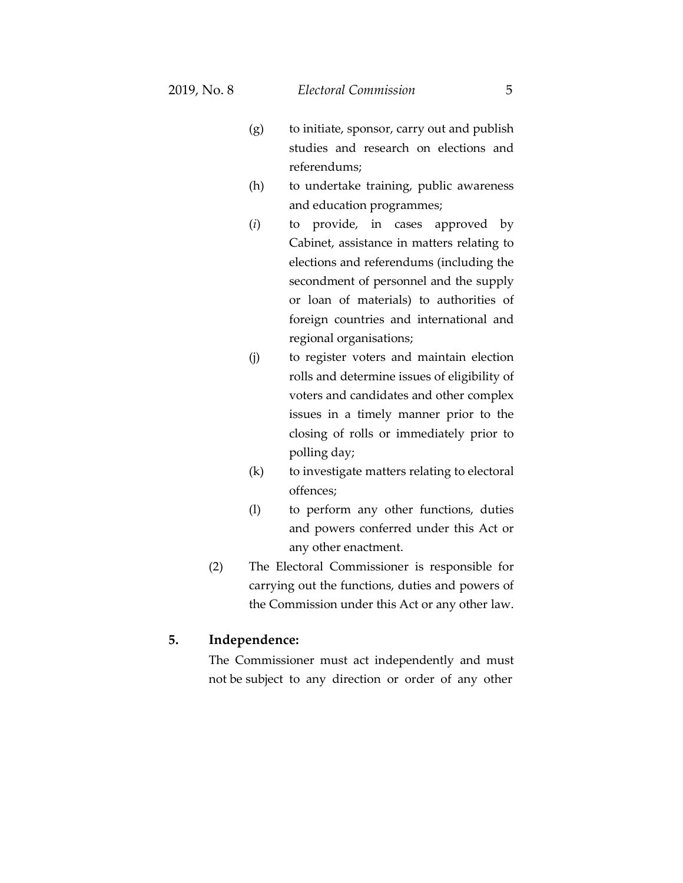- (g) to initiate, sponsor, carry out and publish studies and research on elections and referendums;
- (h) to undertake training, public awareness and education programmes;
- (*i*) to provide, in cases approved by Cabinet, assistance in matters relating to elections and referendums (including the secondment of personnel and the supply or loan of materials) to authorities of foreign countries and international and regional organisations;
- (j) to register voters and maintain election rolls and determine issues of eligibility of voters and candidates and other complex issues in a timely manner prior to the closing of rolls or immediately prior to polling day;
- (k) to investigate matters relating to electoral offences;
- (l) to perform any other functions, duties and powers conferred under this Act or any other enactment.
- (2) The Electoral Commissioner is responsible for carrying out the functions, duties and powers of the Commission under this Act or any other law.

#### **5. Independence:**

The Commissioner must act independently and must not be subject to any direction or order of any other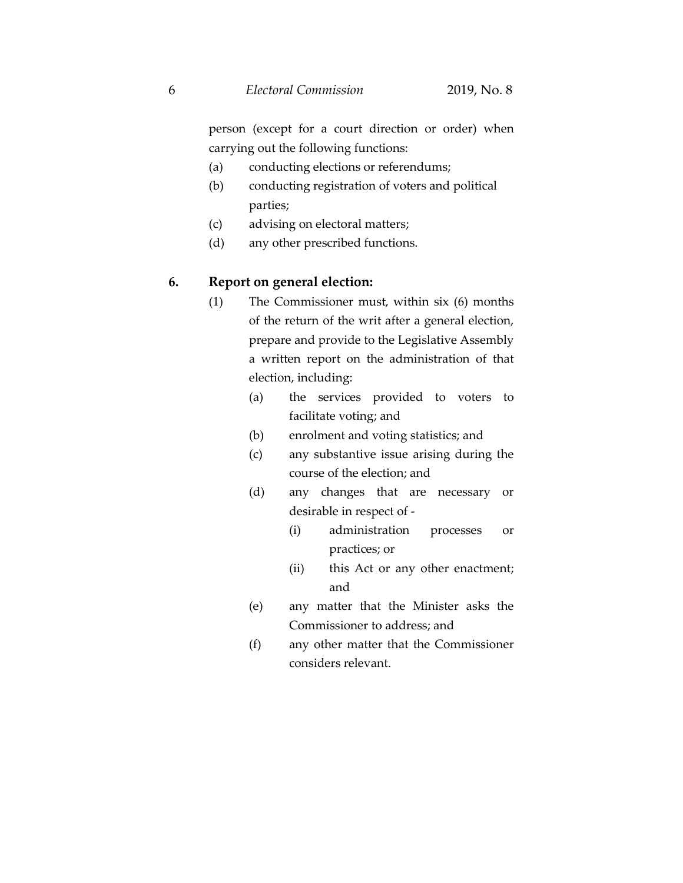person (except for a court direction or order) when carrying out the following functions:

- (a) conducting elections or referendums;
- (b) conducting registration of voters and political parties;
- (c) advising on electoral matters;
- (d) any other prescribed functions.

#### **6. Report on general election:**

- (1) The Commissioner must, within six (6) months of the return of the writ after a general election, prepare and provide to the Legislative Assembly a written report on the administration of that election, including:
	- (a) the services provided to voters to facilitate voting; and
	- (b) enrolment and voting statistics; and
	- (c) any substantive issue arising during the course of the election; and
	- (d) any changes that are necessary or desirable in respect of -
		- (i) administration processes or practices; or
		- (ii) this Act or any other enactment; and
	- (e) any matter that the Minister asks the Commissioner to address; and
	- (f) any other matter that the Commissioner considers relevant.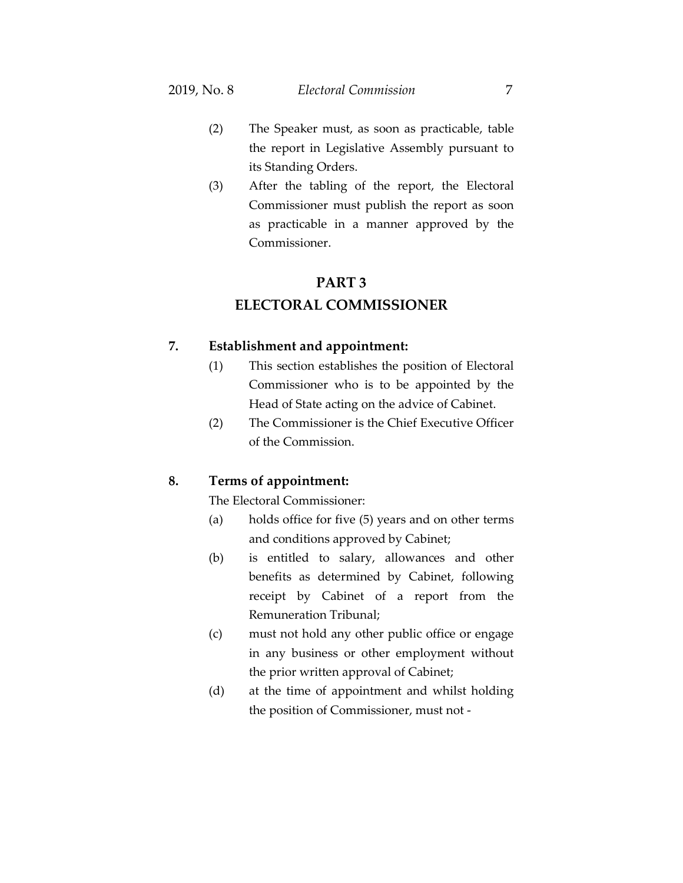- (2) The Speaker must, as soon as practicable, table the report in Legislative Assembly pursuant to its Standing Orders.
- (3) After the tabling of the report, the Electoral Commissioner must publish the report as soon as practicable in a manner approved by the Commissioner.

#### **PART 3**

### **ELECTORAL COMMISSIONER**

#### **7. Establishment and appointment:**

- (1) This section establishes the position of Electoral Commissioner who is to be appointed by the Head of State acting on the advice of Cabinet.
- (2) The Commissioner is the Chief Executive Officer of the Commission.

#### **8. Terms of appointment:**

The Electoral Commissioner:

- (a) holds office for five (5) years and on other terms and conditions approved by Cabinet;
- (b) is entitled to salary, allowances and other benefits as determined by Cabinet, following receipt by Cabinet of a report from the Remuneration Tribunal;
- (c) must not hold any other public office or engage in any business or other employment without the prior written approval of Cabinet;
- (d) at the time of appointment and whilst holding the position of Commissioner, must not -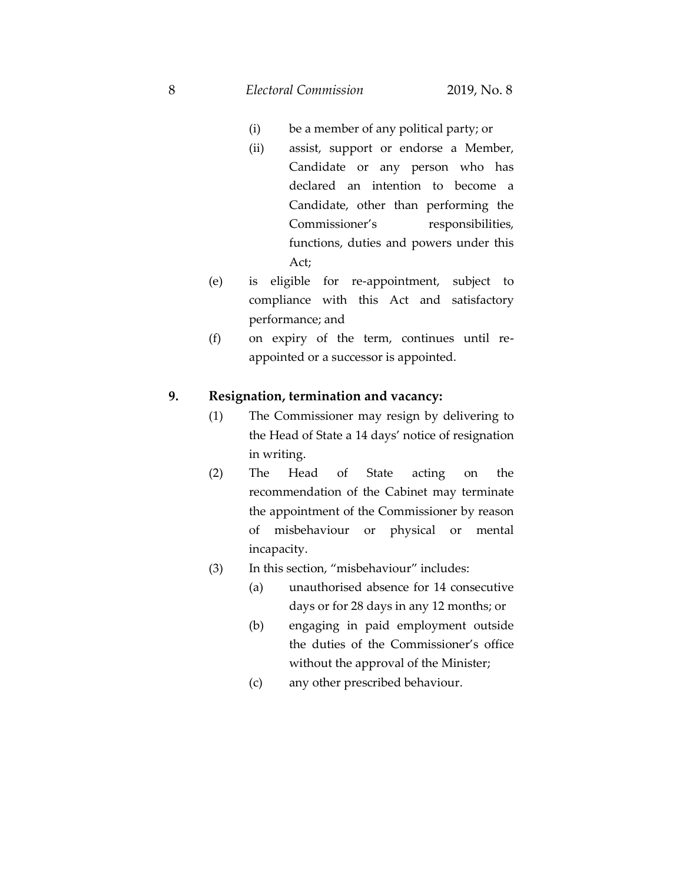8 *Electoral Commission* 2019, No. 8

- (i) be a member of any political party; or
- (ii) assist, support or endorse a Member, Candidate or any person who has declared an intention to become a Candidate, other than performing the Commissioner's responsibilities, functions, duties and powers under this Act;
- (e) is eligible for re-appointment, subject to compliance with this Act and satisfactory performance; and
- (f) on expiry of the term, continues until reappointed or a successor is appointed.

#### **9. Resignation, termination and vacancy:**

- (1) The Commissioner may resign by delivering to the Head of State a 14 days' notice of resignation in writing.
- (2) The Head of State acting on the recommendation of the Cabinet may terminate the appointment of the Commissioner by reason of misbehaviour or physical or mental incapacity.
- (3) In this section, "misbehaviour" includes:
	- (a) unauthorised absence for 14 consecutive days or for 28 days in any 12 months; or
	- (b) engaging in paid employment outside the duties of the Commissioner's office without the approval of the Minister;
	- (c) any other prescribed behaviour.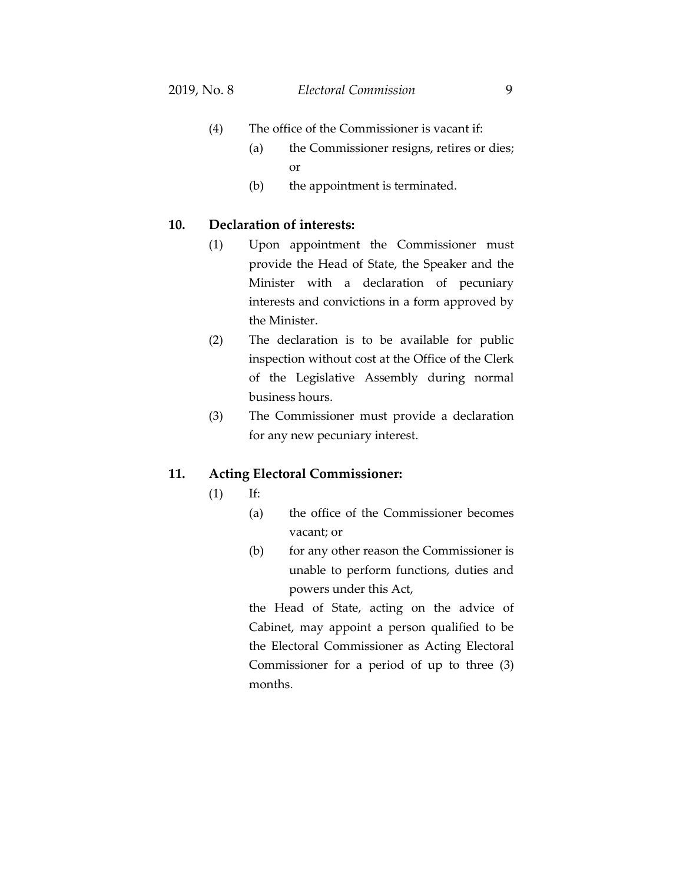- (4) The office of the Commissioner is vacant if:
	- (a) the Commissioner resigns, retires or dies; or
	- (b) the appointment is terminated.

#### **10. Declaration of interests:**

- (1) Upon appointment the Commissioner must provide the Head of State, the Speaker and the Minister with a declaration of pecuniary interests and convictions in a form approved by the Minister.
- (2) The declaration is to be available for public inspection without cost at the Office of the Clerk of the Legislative Assembly during normal business hours.
- (3) The Commissioner must provide a declaration for any new pecuniary interest.

#### **11. Acting Electoral Commissioner:**

- (1) If:
	- (a) the office of the Commissioner becomes vacant; or
	- (b) for any other reason the Commissioner is unable to perform functions, duties and powers under this Act,

the Head of State, acting on the advice of Cabinet, may appoint a person qualified to be the Electoral Commissioner as Acting Electoral Commissioner for a period of up to three (3) months.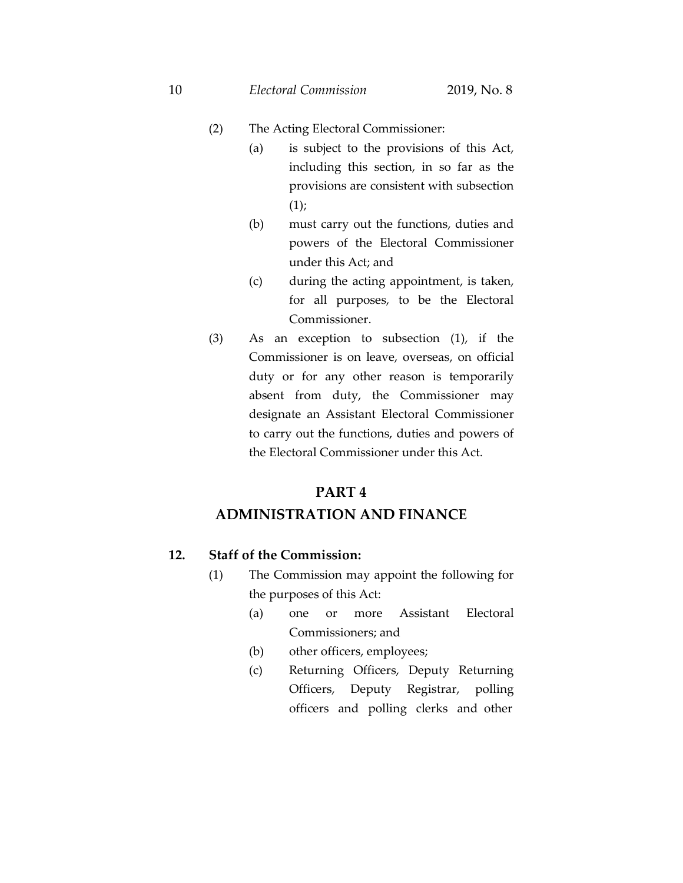- (2) The Acting Electoral Commissioner:
	- (a) is subject to the provisions of this Act, including this section, in so far as the provisions are consistent with subsection (1);
	- (b) must carry out the functions, duties and powers of the Electoral Commissioner under this Act; and
	- (c) during the acting appointment, is taken, for all purposes, to be the Electoral Commissioner.
- (3) As an exception to subsection (1), if the Commissioner is on leave, overseas, on official duty or for any other reason is temporarily absent from duty, the Commissioner may designate an Assistant Electoral Commissioner to carry out the functions, duties and powers of the Electoral Commissioner under this Act.

## **PART 4**

## **ADMINISTRATION AND FINANCE**

### **12. Staff of the Commission:**

- (1) The Commission may appoint the following for the purposes of this Act:
	- (a) one or more Assistant Electoral Commissioners; and
	- (b) other officers, employees;
	- (c) Returning Officers, Deputy Returning Officers, Deputy Registrar, polling officers and polling clerks and other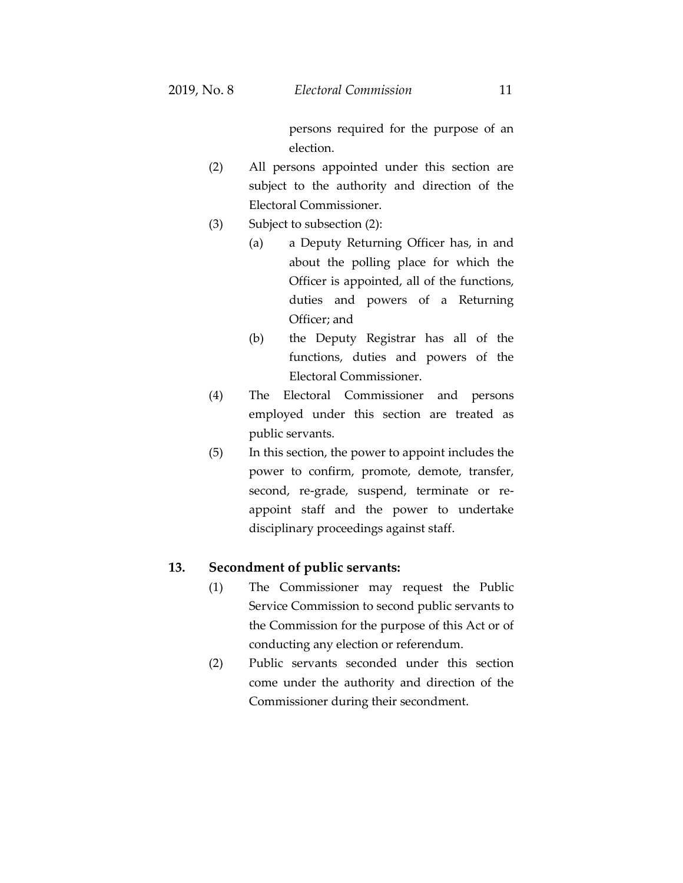persons required for the purpose of an election.

- (2) All persons appointed under this section are subject to the authority and direction of the Electoral Commissioner.
- (3) Subject to subsection (2):
	- (a) a Deputy Returning Officer has, in and about the polling place for which the Officer is appointed, all of the functions, duties and powers of a Returning Officer; and
	- (b) the Deputy Registrar has all of the functions, duties and powers of the Electoral Commissioner.
- (4) The Electoral Commissioner and persons employed under this section are treated as public servants.
- (5) In this section, the power to appoint includes the power to confirm, promote, demote, transfer, second, re-grade, suspend, terminate or reappoint staff and the power to undertake disciplinary proceedings against staff.

#### **13. Secondment of public servants:**

- (1) The Commissioner may request the Public Service Commission to second public servants to the Commission for the purpose of this Act or of conducting any election or referendum.
- (2) Public servants seconded under this section come under the authority and direction of the Commissioner during their secondment.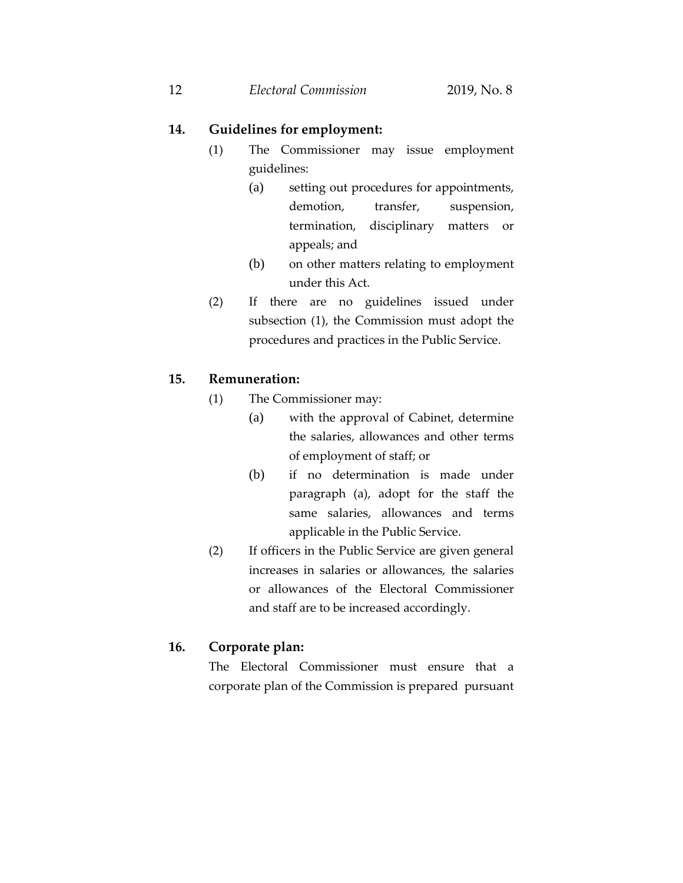### **14. Guidelines for employment:**

- (1) The Commissioner may issue employment guidelines:
	- (a) setting out procedures for appointments, demotion, transfer, suspension, termination, disciplinary matters or appeals; and
	- (b) on other matters relating to employment under this Act.
- (2) If there are no guidelines issued under subsection (1), the Commission must adopt the procedures and practices in the Public Service.

#### **15. Remuneration:**

- (1) The Commissioner may:
	- (a) with the approval of Cabinet, determine the salaries, allowances and other terms of employment of staff; or
	- (b) if no determination is made under paragraph (a), adopt for the staff the same salaries, allowances and terms applicable in the Public Service.
- (2) If officers in the Public Service are given general increases in salaries or allowances, the salaries or allowances of the Electoral Commissioner and staff are to be increased accordingly.

#### **16. Corporate plan:**

The Electoral Commissioner must ensure that a corporate plan of the Commission is prepared pursuant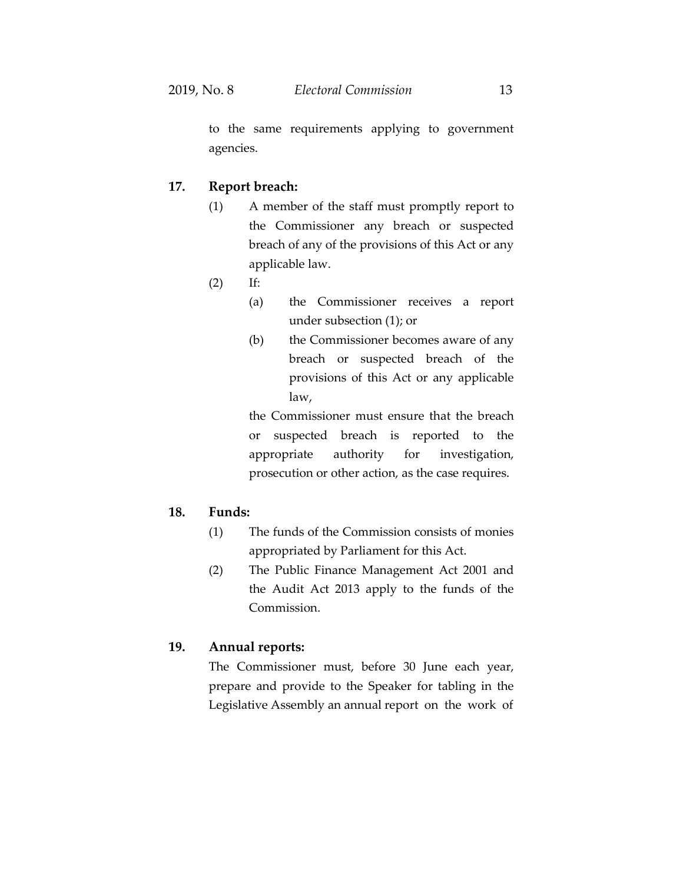to the same requirements applying to government agencies.

### **17. Report breach:**

- (1) A member of the staff must promptly report to the Commissioner any breach or suspected breach of any of the provisions of this Act or any applicable law.
- (2) If:
	- (a) the Commissioner receives a report under subsection (1); or
	- (b) the Commissioner becomes aware of any breach or suspected breach of the provisions of this Act or any applicable law,

the Commissioner must ensure that the breach or suspected breach is reported to the appropriate authority for investigation, prosecution or other action, as the case requires.

#### **18. Funds:**

- (1) The funds of the Commission consists of monies appropriated by Parliament for this Act.
- (2) The Public Finance Management Act 2001 and the Audit Act 2013 apply to the funds of the Commission.

### **19. Annual reports:**

The Commissioner must, before 30 June each year, prepare and provide to the Speaker for tabling in the Legislative Assembly an annual report on the work of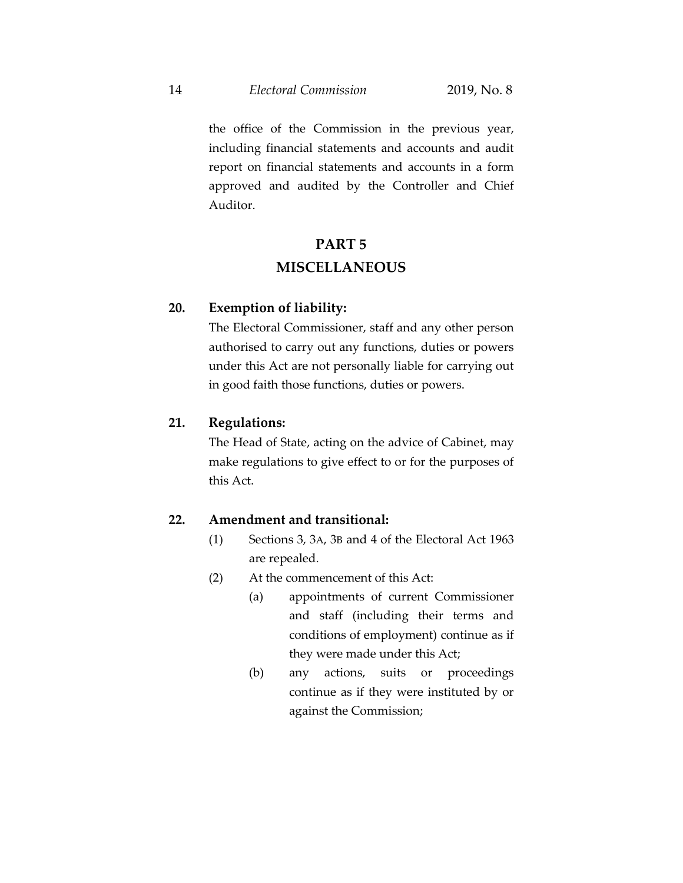the office of the Commission in the previous year, including financial statements and accounts and audit report on financial statements and accounts in a form approved and audited by the Controller and Chief Auditor.

# **PART 5 MISCELLANEOUS**

#### **20. Exemption of liability:**

The Electoral Commissioner, staff and any other person authorised to carry out any functions, duties or powers under this Act are not personally liable for carrying out in good faith those functions, duties or powers.

### **21. Regulations:**

The Head of State, acting on the advice of Cabinet, may make regulations to give effect to or for the purposes of this Act.

#### **22. Amendment and transitional:**

- (1) Sections 3, 3A, 3B and 4 of the Electoral Act 1963 are repealed.
- (2) At the commencement of this Act:
	- (a) appointments of current Commissioner and staff (including their terms and conditions of employment) continue as if they were made under this Act;
	- (b) any actions, suits or proceedings continue as if they were instituted by or against the Commission;